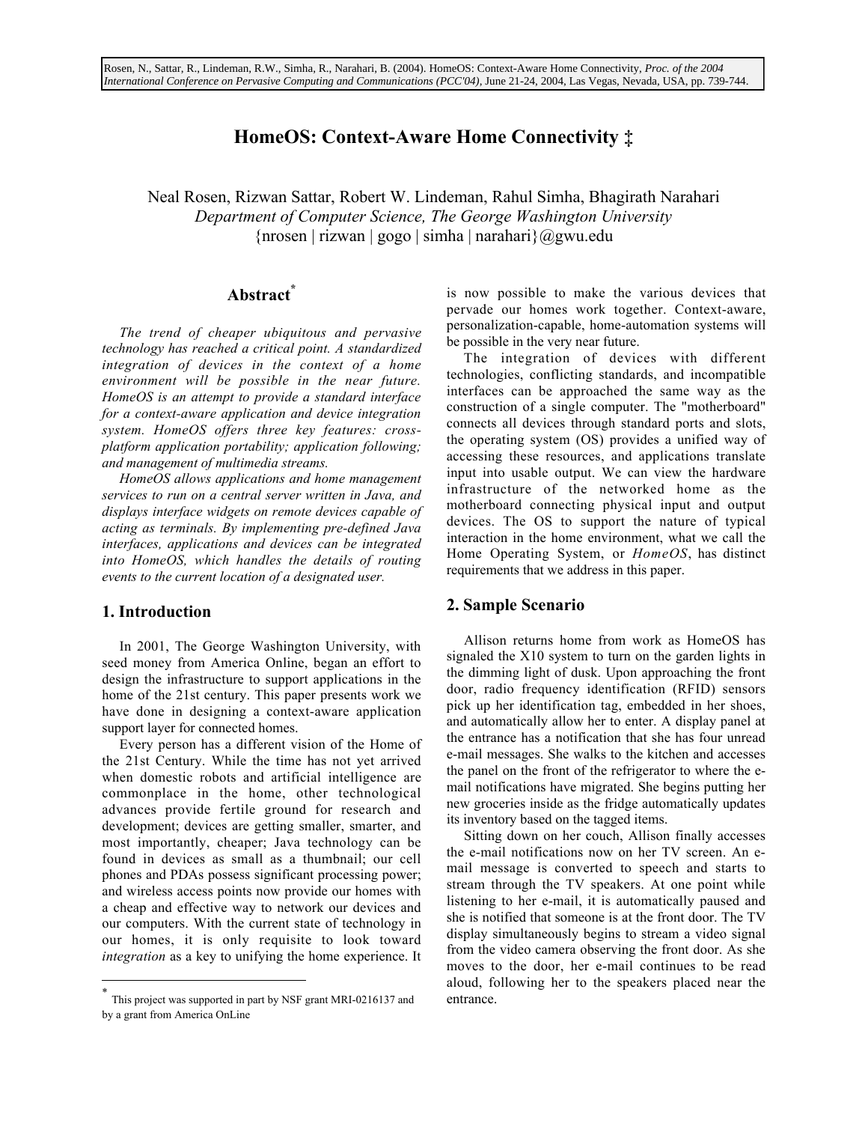# HomeOS: Context-Aware Home Connectivity ‡

Neal Rosen, Rizwan Sattar, Robert W. Lindeman, Rahul Simha, Bhagirath Narahari *Department of Computer Science, The George Washington University*  ${\arccosen}$  | rizwan | gogo | simha | narahari $\alpha$ gwu.edu

# Abstract\*

*The trend of cheaper ubiquitous and pervasive technology has reached a critical point. A standardized integration of devices in the context of a home environment will be possible in the near future. HomeOS is an attempt to provide a standard interface for a context-aware application and device integration system. HomeOS offers three key features: crossplatform application portability; application following; and management of multimedia streams.*

*HomeOS allows applications and home management services to run on a central server written in Java, and displays interface widgets on remote devices capable of acting as terminals. By implementing pre-defined Java interfaces, applications and devices can be integrated into HomeOS, which handles the details of routing events to the current location of a designated user.*

## 1. Introduction

In 2001, The George Washington University, with seed money from America Online, began an effort to design the infrastructure to support applications in the home of the 21st century. This paper presents work we have done in designing a context-aware application support layer for connected homes.

Every person has a different vision of the Home of the 21st Century. While the time has not yet arrived when domestic robots and artificial intelligence are commonplace in the home, other technological advances provide fertile ground for research and development; devices are getting smaller, smarter, and most importantly, cheaper; Java technology can be found in devices as small as a thumbnail; our cell phones and PDAs possess significant processing power; and wireless access points now provide our homes with a cheap and effective way to network our devices and our computers. With the current state of technology in our homes, it is only requisite to look toward *integration* as a key to unifying the home experience. It

is now possible to make the various devices that pervade our homes work together. Context-aware, personalization-capable, home-automation systems will be possible in the very near future.

The integration of devices with different technologies, conflicting standards, and incompatible interfaces can be approached the same way as the construction of a single computer. The "motherboard" connects all devices through standard ports and slots, the operating system (OS) provides a unified way of accessing these resources, and applications translate input into usable output. We can view the hardware infrastructure of the networked home as the motherboard connecting physical input and output devices. The OS to support the nature of typical interaction in the home environment, what we call the Home Operating System, or *HomeOS*, has distinct requirements that we address in this paper.

# 2. Sample Scenario

Allison returns home from work as HomeOS has signaled the X10 system to turn on the garden lights in the dimming light of dusk. Upon approaching the front door, radio frequency identification (RFID) sensors pick up her identification tag, embedded in her shoes, and automatically allow her to enter. A display panel at the entrance has a notification that she has four unread e-mail messages. She walks to the kitchen and accesses the panel on the front of the refrigerator to where the email notifications have migrated. She begins putting her new groceries inside as the fridge automatically updates its inventory based on the tagged items.

Sitting down on her couch, Allison finally accesses the e-mail notifications now on her TV screen. An email message is converted to speech and starts to stream through the TV speakers. At one point while listening to her e-mail, it is automatically paused and she is notified that someone is at the front door. The TV display simultaneously begins to stream a video signal from the video camera observing the front door. As she moves to the door, her e-mail continues to be read aloud, following her to the speakers placed near the entrance.

This project was supported in part by NSF grant MRI-0216137 and by a grant from America OnLine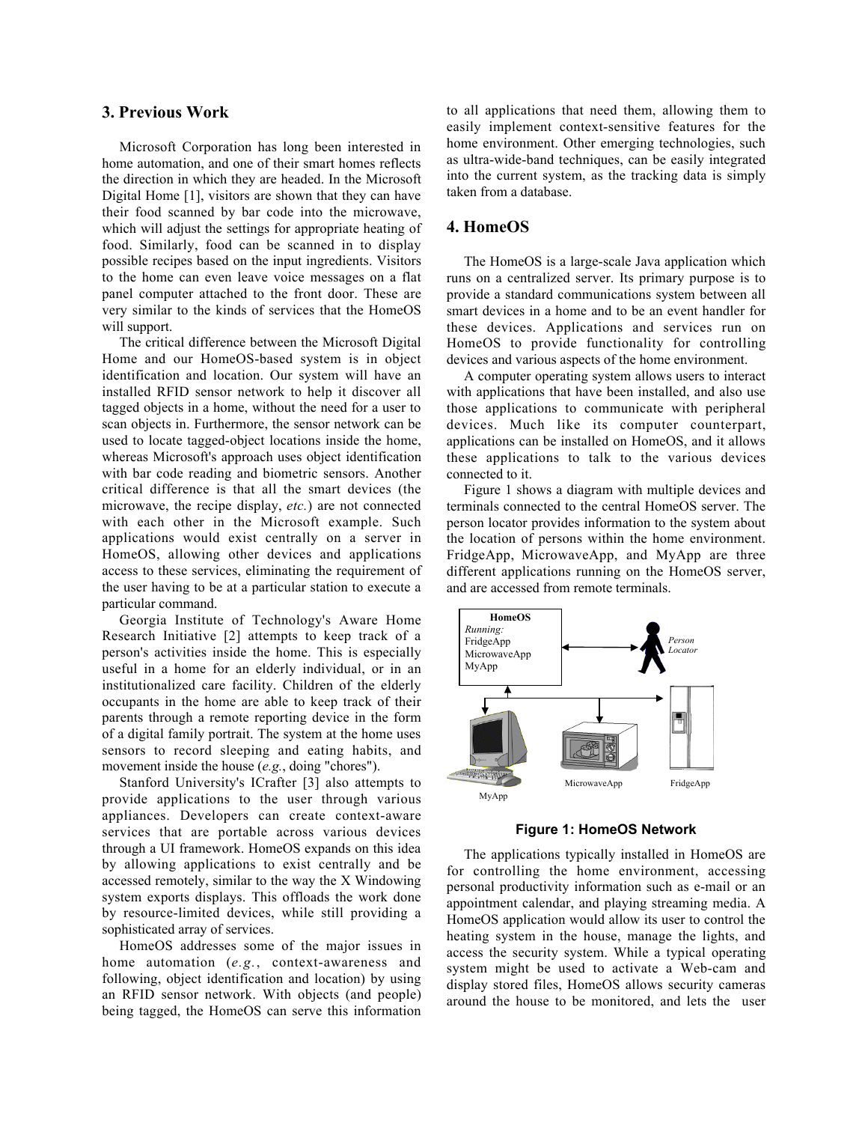#### 3. Previous Work

Microsoft Corporation has long been interested in home automation, and one of their smart homes reflects the direction in which they are headed. In the Microsoft Digital Home [1], visitors are shown that they can have their food scanned by bar code into the microwave, which will adjust the settings for appropriate heating of food. Similarly, food can be scanned in to display possible recipes based on the input ingredients. Visitors to the home can even leave voice messages on a flat panel computer attached to the front door. These are very similar to the kinds of services that the HomeOS will support.

The critical difference between the Microsoft Digital Home and our HomeOS-based system is in object identification and location. Our system will have an installed RFID sensor network to help it discover all tagged objects in a home, without the need for a user to scan objects in. Furthermore, the sensor network can be used to locate tagged-object locations inside the home, whereas Microsoft's approach uses object identification with bar code reading and biometric sensors. Another critical difference is that all the smart devices (the microwave, the recipe display, *etc.*) are not connected with each other in the Microsoft example. Such applications would exist centrally on a server in HomeOS, allowing other devices and applications access to these services, eliminating the requirement of the user having to be at a particular station to execute a particular command.

Georgia Institute of Technology's Aware Home Research Initiative [2] attempts to keep track of a person's activities inside the home. This is especially useful in a home for an elderly individual, or in an institutionalized care facility. Children of the elderly occupants in the home are able to keep track of their parents through a remote reporting device in the form of a digital family portrait. The system at the home uses sensors to record sleeping and eating habits, and movement inside the house (*e.g.*, doing "chores").

Stanford University's ICrafter [3] also attempts to provide applications to the user through various appliances. Developers can create context-aware services that are portable across various devices through a UI framework. HomeOS expands on this idea by allowing applications to exist centrally and be accessed remotely, similar to the way the X Windowing system exports displays. This offloads the work done by resource-limited devices, while still providing a sophisticated array of services.

HomeOS addresses some of the major issues in home automation (*e.g.*, context-awareness and following, object identification and location) by using an RFID sensor network. With objects (and people) being tagged, the HomeOS can serve this information to all applications that need them, allowing them to easily implement context-sensitive features for the home environment. Other emerging technologies, such as ultra-wide-band techniques, can be easily integrated into the current system, as the tracking data is simply taken from a database.

# 4. HomeOS

The HomeOS is a large-scale Java application which runs on a centralized server. Its primary purpose is to provide a standard communications system between all smart devices in a home and to be an event handler for these devices. Applications and services run on HomeOS to provide functionality for controlling devices and various aspects of the home environment.

A computer operating system allows users to interact with applications that have been installed, and also use those applications to communicate with peripheral devices. Much like its computer counterpart, applications can be installed on HomeOS, and it allows these applications to talk to the various devices connected to it.

Figure 1 shows a diagram with multiple devices and terminals connected to the central HomeOS server. The person locator provides information to the system about the location of persons within the home environment. FridgeApp, MicrowaveApp, and MyApp are three different applications running on the HomeOS server, and are accessed from remote terminals.



**Figure 1: HomeOS Network**

The applications typically installed in HomeOS are for controlling the home environment, accessing personal productivity information such as e-mail or an appointment calendar, and playing streaming media. A HomeOS application would allow its user to control the heating system in the house, manage the lights, and access the security system. While a typical operating system might be used to activate a Web-cam and display stored files, HomeOS allows security cameras around the house to be monitored, and lets the user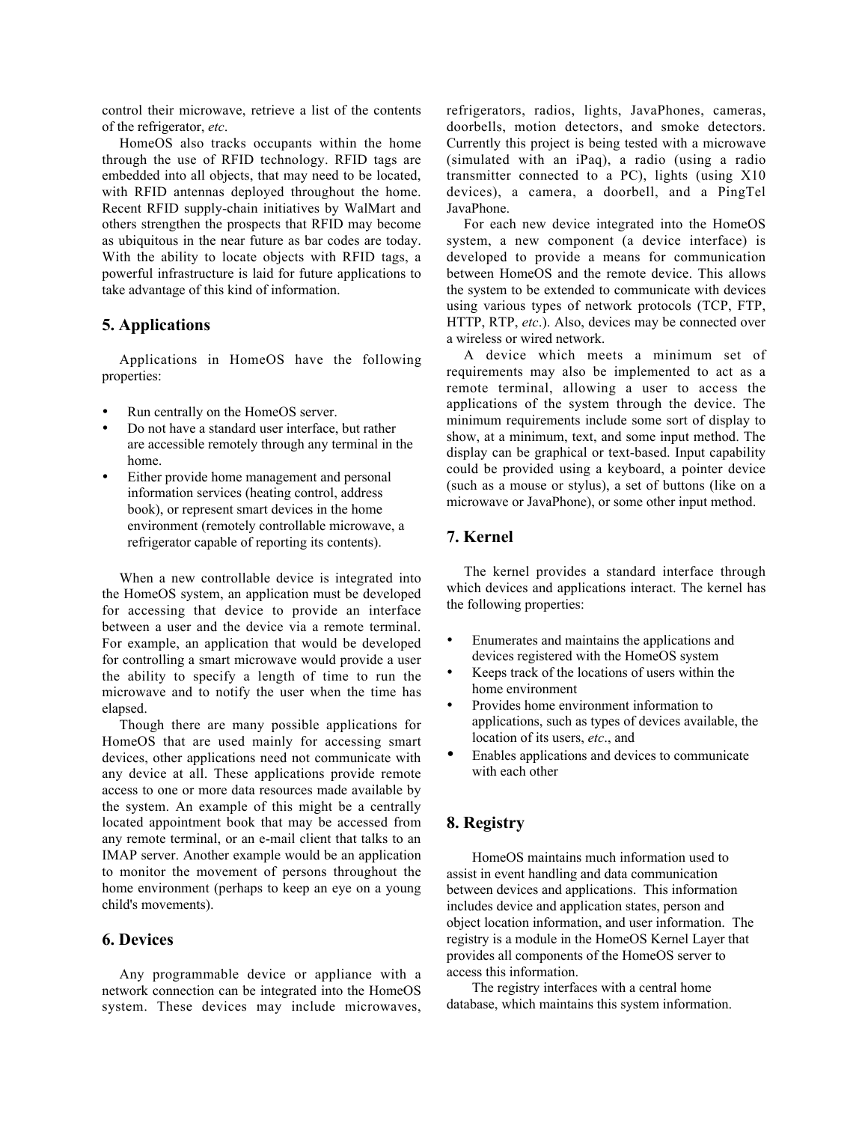control their microwave, retrieve a list of the contents of the refrigerator, *etc*.

HomeOS also tracks occupants within the home through the use of RFID technology. RFID tags are embedded into all objects, that may need to be located, with RFID antennas deployed throughout the home. Recent RFID supply-chain initiatives by WalMart and others strengthen the prospects that RFID may become as ubiquitous in the near future as bar codes are today. With the ability to locate objects with RFID tags, a powerful infrastructure is laid for future applications to take advantage of this kind of information.

## 5. Applications

Applications in HomeOS have the following properties:

- Run centrally on the HomeOS server.
- Do not have a standard user interface, but rather are accessible remotely through any terminal in the home.
- Either provide home management and personal information services (heating control, address book), or represent smart devices in the home environment (remotely controllable microwave, a refrigerator capable of reporting its contents).

When a new controllable device is integrated into the HomeOS system, an application must be developed for accessing that device to provide an interface between a user and the device via a remote terminal. For example, an application that would be developed for controlling a smart microwave would provide a user the ability to specify a length of time to run the microwave and to notify the user when the time has elapsed.

Though there are many possible applications for HomeOS that are used mainly for accessing smart devices, other applications need not communicate with any device at all. These applications provide remote access to one or more data resources made available by the system. An example of this might be a centrally located appointment book that may be accessed from any remote terminal, or an e-mail client that talks to an IMAP server. Another example would be an application to monitor the movement of persons throughout the home environment (perhaps to keep an eye on a young child's movements).

### 6. Devices

Any programmable device or appliance with a network connection can be integrated into the HomeOS system. These devices may include microwaves, refrigerators, radios, lights, JavaPhones, cameras, doorbells, motion detectors, and smoke detectors. Currently this project is being tested with a microwave (simulated with an iPaq), a radio (using a radio transmitter connected to a PC), lights (using X10 devices), a camera, a doorbell, and a PingTel JavaPhone.

For each new device integrated into the HomeOS system, a new component (a device interface) is developed to provide a means for communication between HomeOS and the remote device. This allows the system to be extended to communicate with devices using various types of network protocols (TCP, FTP, HTTP, RTP, *etc*.). Also, devices may be connected over a wireless or wired network.

A device which meets a minimum set of requirements may also be implemented to act as a remote terminal, allowing a user to access the applications of the system through the device. The minimum requirements include some sort of display to show, at a minimum, text, and some input method. The display can be graphical or text-based. Input capability could be provided using a keyboard, a pointer device (such as a mouse or stylus), a set of buttons (like on a microwave or JavaPhone), or some other input method.

# 7. Kernel

The kernel provides a standard interface through which devices and applications interact. The kernel has the following properties:

- Enumerates and maintains the applications and devices registered with the HomeOS system
- Keeps track of the locations of users within the home environment
- Provides home environment information to applications, such as types of devices available, the location of its users, *etc*., and
- Enables applications and devices to communicate with each other

### 8. Registry

HomeOS maintains much information used to assist in event handling and data communication between devices and applications. This information includes device and application states, person and object location information, and user information. The registry is a module in the HomeOS Kernel Layer that provides all components of the HomeOS server to access this information.

The registry interfaces with a central home database, which maintains this system information.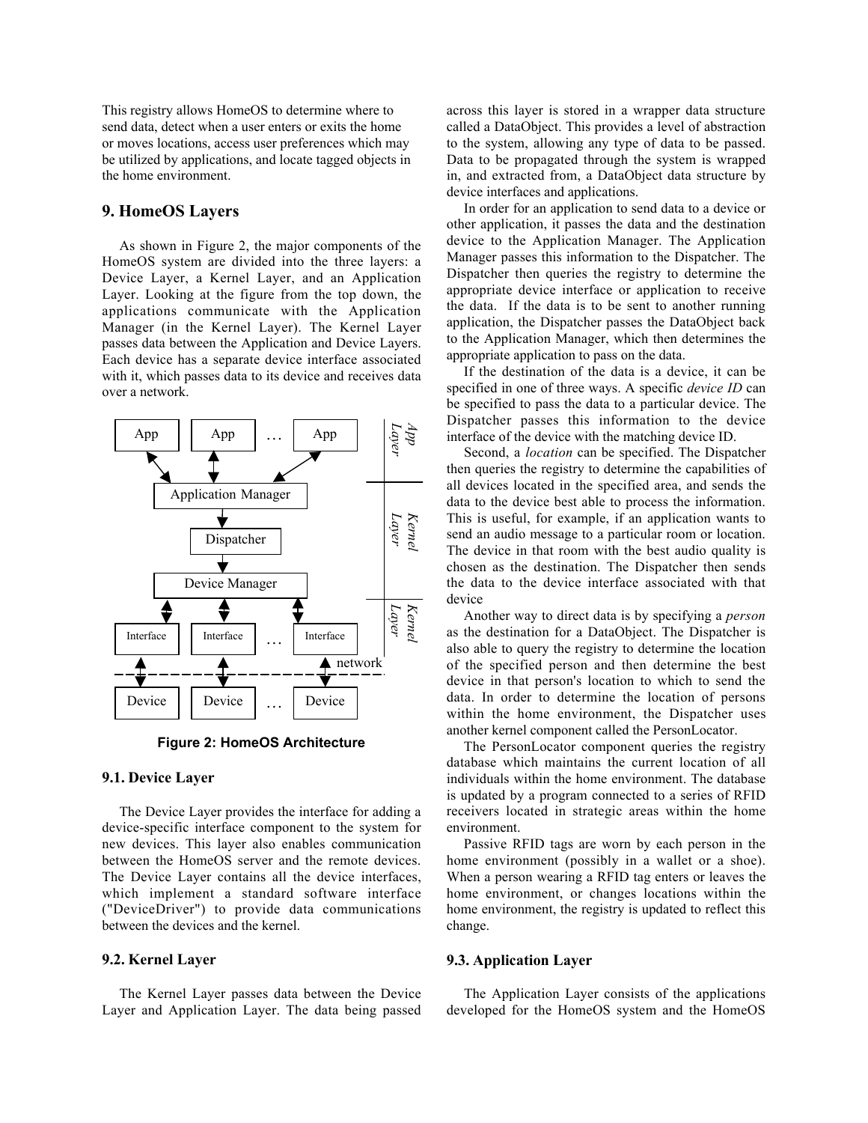This registry allows HomeOS to determine where to send data, detect when a user enters or exits the home or moves locations, access user preferences which may be utilized by applications, and locate tagged objects in the home environment.

# 9. HomeOS Layers

As shown in Figure 2, the major components of the HomeOS system are divided into the three layers: a Device Layer, a Kernel Layer, and an Application Layer. Looking at the figure from the top down, the applications communicate with the Application Manager (in the Kernel Layer). The Kernel Layer passes data between the Application and Device Layers. Each device has a separate device interface associated with it, which passes data to its device and receives data over a network.



**Figure 2: HomeOS Architecture**

#### 9.1. Device Layer

The Device Layer provides the interface for adding a device-specific interface component to the system for new devices. This layer also enables communication between the HomeOS server and the remote devices. The Device Layer contains all the device interfaces, which implement a standard software interface ("DeviceDriver") to provide data communications between the devices and the kernel.

## 9.2. Kernel Layer

The Kernel Layer passes data between the Device Layer and Application Layer. The data being passed

across this layer is stored in a wrapper data structure called a DataObject. This provides a level of abstraction to the system, allowing any type of data to be passed. Data to be propagated through the system is wrapped in, and extracted from, a DataObject data structure by device interfaces and applications.

In order for an application to send data to a device or other application, it passes the data and the destination device to the Application Manager. The Application Manager passes this information to the Dispatcher. The Dispatcher then queries the registry to determine the appropriate device interface or application to receive the data. If the data is to be sent to another running application, the Dispatcher passes the DataObject back to the Application Manager, which then determines the appropriate application to pass on the data.

If the destination of the data is a device, it can be specified in one of three ways. A specific *device ID* can be specified to pass the data to a particular device. The Dispatcher passes this information to the device interface of the device with the matching device ID.

Second, a *location* can be specified. The Dispatcher then queries the registry to determine the capabilities of all devices located in the specified area, and sends the data to the device best able to process the information. This is useful, for example, if an application wants to send an audio message to a particular room or location. The device in that room with the best audio quality is chosen as the destination. The Dispatcher then sends the data to the device interface associated with that device

Another way to direct data is by specifying a *person* as the destination for a DataObject. The Dispatcher is also able to query the registry to determine the location of the specified person and then determine the best device in that person's location to which to send the data. In order to determine the location of persons within the home environment, the Dispatcher uses another kernel component called the PersonLocator.

The PersonLocator component queries the registry database which maintains the current location of all individuals within the home environment. The database is updated by a program connected to a series of RFID receivers located in strategic areas within the home environment.

Passive RFID tags are worn by each person in the home environment (possibly in a wallet or a shoe). When a person wearing a RFID tag enters or leaves the home environment, or changes locations within the home environment, the registry is updated to reflect this change.

### 9.3. Application Layer

The Application Layer consists of the applications developed for the HomeOS system and the HomeOS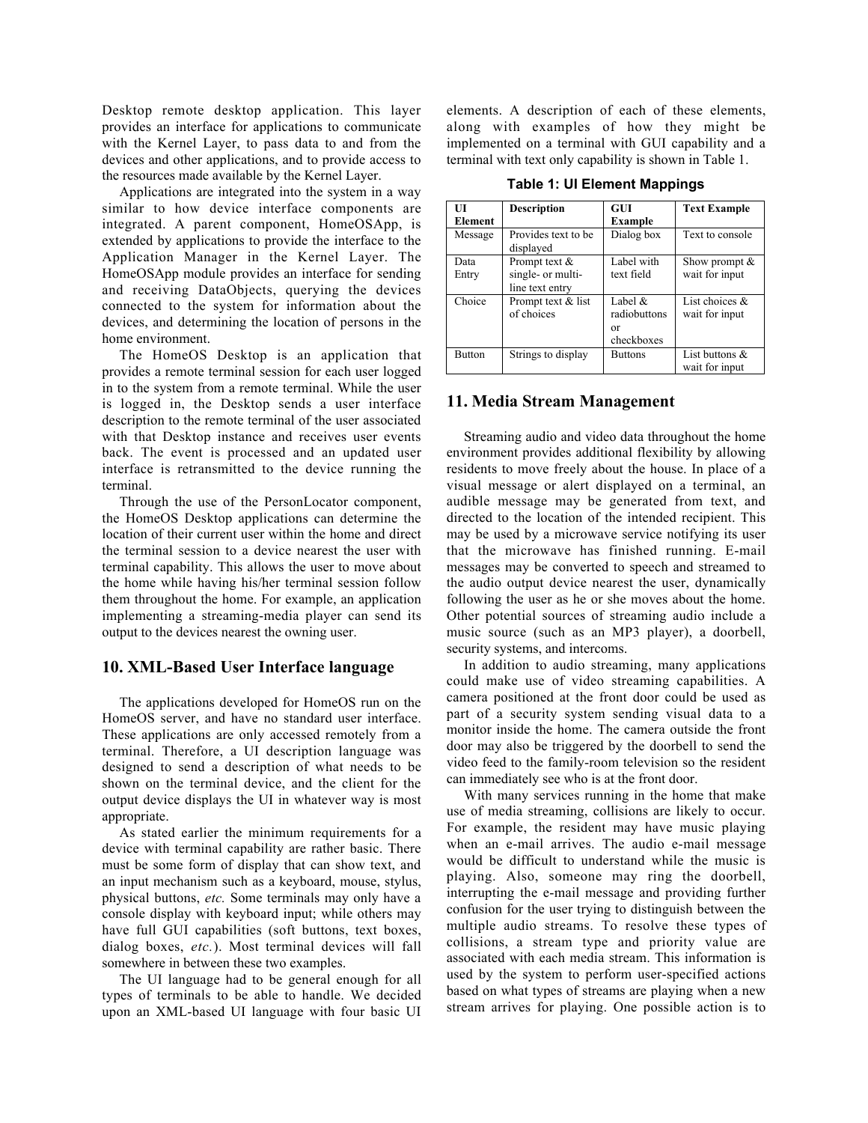Desktop remote desktop application. This layer provides an interface for applications to communicate with the Kernel Layer, to pass data to and from the devices and other applications, and to provide access to the resources made available by the Kernel Layer.

Applications are integrated into the system in a way similar to how device interface components are integrated. A parent component, HomeOSApp, is extended by applications to provide the interface to the Application Manager in the Kernel Layer. The HomeOSApp module provides an interface for sending and receiving DataObjects, querying the devices connected to the system for information about the devices, and determining the location of persons in the home environment.

The HomeOS Desktop is an application that provides a remote terminal session for each user logged in to the system from a remote terminal. While the user is logged in, the Desktop sends a user interface description to the remote terminal of the user associated with that Desktop instance and receives user events back. The event is processed and an updated user interface is retransmitted to the device running the terminal.

Through the use of the PersonLocator component, the HomeOS Desktop applications can determine the location of their current user within the home and direct the terminal session to a device nearest the user with terminal capability. This allows the user to move about the home while having his/her terminal session follow them throughout the home. For example, an application implementing a streaming-media player can send its output to the devices nearest the owning user.

#### 10. XML-Based User Interface language

The applications developed for HomeOS run on the HomeOS server, and have no standard user interface. These applications are only accessed remotely from a terminal. Therefore, a UI description language was designed to send a description of what needs to be shown on the terminal device, and the client for the output device displays the UI in whatever way is most appropriate.

As stated earlier the minimum requirements for a device with terminal capability are rather basic. There must be some form of display that can show text, and an input mechanism such as a keyboard, mouse, stylus, physical buttons, *etc.* Some terminals may only have a console display with keyboard input; while others may have full GUI capabilities (soft buttons, text boxes, dialog boxes, *etc.*). Most terminal devices will fall somewhere in between these two examples.

The UI language had to be general enough for all types of terminals to be able to handle. We decided upon an XML-based UI language with four basic UI elements. A description of each of these elements, along with examples of how they might be implemented on a terminal with GUI capability and a terminal with text only capability is shown in Table 1.

**Table 1: UI Element Mappings**

| $\mathbf{H}$<br>Element | <b>Description</b>                                    | <b>GUI</b><br>Example                          | <b>Text Example</b>                 |
|-------------------------|-------------------------------------------------------|------------------------------------------------|-------------------------------------|
| Message                 | Provides text to be<br>displayed                      | Dialog box                                     | Text to console                     |
| Data<br>Entry           | Prompt text &<br>single- or multi-<br>line text entry | Label with<br>text field                       | Show prompt $\&$<br>wait for input  |
| Choice                  | Prompt text & list<br>of choices                      | Label $\&$<br>radiobuttons<br>or<br>checkboxes | List choices $\&$<br>wait for input |
| <b>Button</b>           | Strings to display                                    | <b>Buttons</b>                                 | List buttons $\&$<br>wait for input |

#### 11. Media Stream Management

Streaming audio and video data throughout the home environment provides additional flexibility by allowing residents to move freely about the house. In place of a visual message or alert displayed on a terminal, an audible message may be generated from text, and directed to the location of the intended recipient. This may be used by a microwave service notifying its user that the microwave has finished running. E-mail messages may be converted to speech and streamed to the audio output device nearest the user, dynamically following the user as he or she moves about the home. Other potential sources of streaming audio include a music source (such as an MP3 player), a doorbell, security systems, and intercoms.

In addition to audio streaming, many applications could make use of video streaming capabilities. A camera positioned at the front door could be used as part of a security system sending visual data to a monitor inside the home. The camera outside the front door may also be triggered by the doorbell to send the video feed to the family-room television so the resident can immediately see who is at the front door.

With many services running in the home that make use of media streaming, collisions are likely to occur. For example, the resident may have music playing when an e-mail arrives. The audio e-mail message would be difficult to understand while the music is playing. Also, someone may ring the doorbell, interrupting the e-mail message and providing further confusion for the user trying to distinguish between the multiple audio streams. To resolve these types of collisions, a stream type and priority value are associated with each media stream. This information is used by the system to perform user-specified actions based on what types of streams are playing when a new stream arrives for playing. One possible action is to